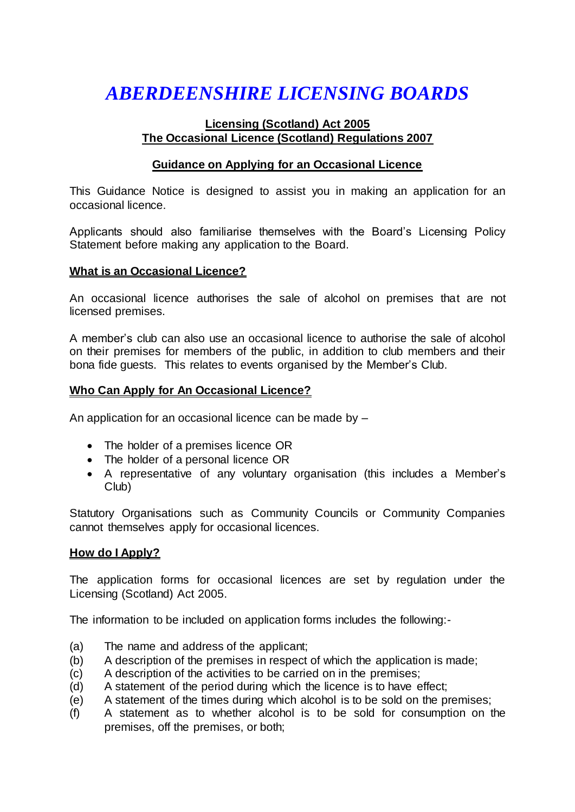# *ABERDEENSHIRE LICENSING BOARDS*

# **Licensing (Scotland) Act 2005 The Occasional Licence (Scotland) Regulations 2007**

# **Guidance on Applying for an Occasional Licence**

This Guidance Notice is designed to assist you in making an application for an occasional licence.

Applicants should also familiarise themselves with the Board's Licensing Policy Statement before making any application to the Board.

# **What is an Occasional Licence?**

An occasional licence authorises the sale of alcohol on premises that are not licensed premises.

A member's club can also use an occasional licence to authorise the sale of alcohol on their premises for members of the public, in addition to club members and their bona fide guests. This relates to events organised by the Member's Club.

# **Who Can Apply for An Occasional Licence?**

An application for an occasional licence can be made by –

- The holder of a premises licence OR
- The holder of a personal licence OR
- A representative of any voluntary organisation (this includes a Member's Club)

Statutory Organisations such as Community Councils or Community Companies cannot themselves apply for occasional licences.

# **How do I Apply?**

The application forms for occasional licences are set by regulation under the Licensing (Scotland) Act 2005.

The information to be included on application forms includes the following:-

- (a) The name and address of the applicant;
- (b) A description of the premises in respect of which the application is made;
- (c) A description of the activities to be carried on in the premises;
- (d) A statement of the period during which the licence is to have effect;
- (e) A statement of the times during which alcohol is to be sold on the premises;
- (f) A statement as to whether alcohol is to be sold for consumption on the premises, off the premises, or both;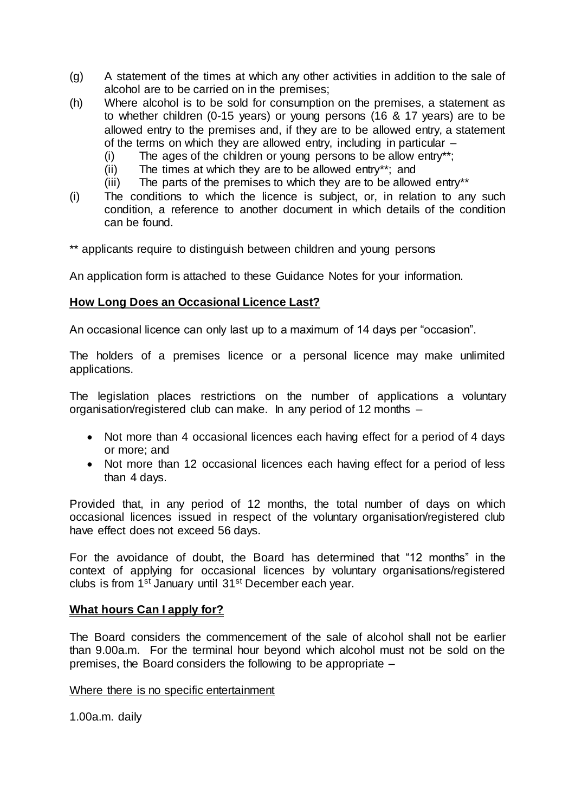- (g) A statement of the times at which any other activities in addition to the sale of alcohol are to be carried on in the premises;
- (h) Where alcohol is to be sold for consumption on the premises, a statement as to whether children (0-15 years) or young persons (16 & 17 years) are to be allowed entry to the premises and, if they are to be allowed entry, a statement of the terms on which they are allowed entry, including in particular –
	- (i) The ages of the children or young persons to be allow entry\*\*;
	- (ii) The times at which they are to be allowed entry\*\*; and
	- (iii) The parts of the premises to which they are to be allowed entry\*\*
- (i) The conditions to which the licence is subject, or, in relation to any such condition, a reference to another document in which details of the condition can be found.
- \*\* applicants require to distinguish between children and young persons

An application form is attached to these Guidance Notes for your information.

#### **How Long Does an Occasional Licence Last?**

An occasional licence can only last up to a maximum of 14 days per "occasion".

The holders of a premises licence or a personal licence may make unlimited applications.

The legislation places restrictions on the number of applications a voluntary organisation/registered club can make. In any period of 12 months –

- Not more than 4 occasional licences each having effect for a period of 4 days or more; and
- Not more than 12 occasional licences each having effect for a period of less than 4 days.

Provided that, in any period of 12 months, the total number of days on which occasional licences issued in respect of the voluntary organisation/registered club have effect does not exceed 56 days.

For the avoidance of doubt, the Board has determined that "12 months" in the context of applying for occasional licences by voluntary organisations/registered clubs is from 1st January until 31st December each year.

#### **What hours Can I apply for?**

The Board considers the commencement of the sale of alcohol shall not be earlier than 9.00a.m. For the terminal hour beyond which alcohol must not be sold on the premises, the Board considers the following to be appropriate –

Where there is no specific entertainment

1.00a.m. daily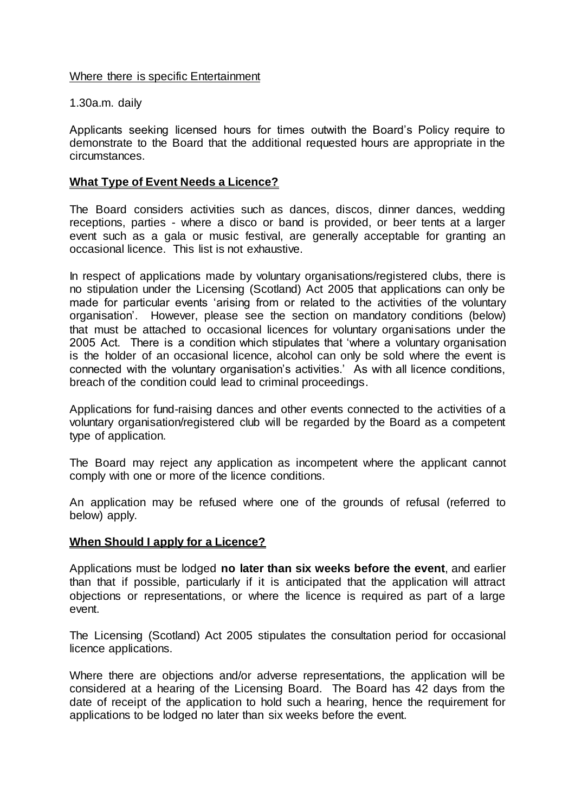Where there is specific Entertainment

1.30a.m. daily

Applicants seeking licensed hours for times outwith the Board's Policy require to demonstrate to the Board that the additional requested hours are appropriate in the circumstances.

# **What Type of Event Needs a Licence?**

The Board considers activities such as dances, discos, dinner dances, wedding receptions, parties - where a disco or band is provided, or beer tents at a larger event such as a gala or music festival, are generally acceptable for granting an occasional licence. This list is not exhaustive.

In respect of applications made by voluntary organisations/registered clubs, there is no stipulation under the Licensing (Scotland) Act 2005 that applications can only be made for particular events 'arising from or related to the activities of the voluntary organisation'. However, please see the section on mandatory conditions (below) that must be attached to occasional licences for voluntary organisations under the 2005 Act. There is a condition which stipulates that 'where a voluntary organisation is the holder of an occasional licence, alcohol can only be sold where the event is connected with the voluntary organisation's activities.' As with all licence conditions, breach of the condition could lead to criminal proceedings.

Applications for fund-raising dances and other events connected to the activities of a voluntary organisation/registered club will be regarded by the Board as a competent type of application.

The Board may reject any application as incompetent where the applicant cannot comply with one or more of the licence conditions.

An application may be refused where one of the grounds of refusal (referred to below) apply.

# **When Should I apply for a Licence?**

Applications must be lodged **no later than six weeks before the event**, and earlier than that if possible, particularly if it is anticipated that the application will attract objections or representations, or where the licence is required as part of a large event.

The Licensing (Scotland) Act 2005 stipulates the consultation period for occasional licence applications.

Where there are objections and/or adverse representations, the application will be considered at a hearing of the Licensing Board. The Board has 42 days from the date of receipt of the application to hold such a hearing, hence the requirement for applications to be lodged no later than six weeks before the event.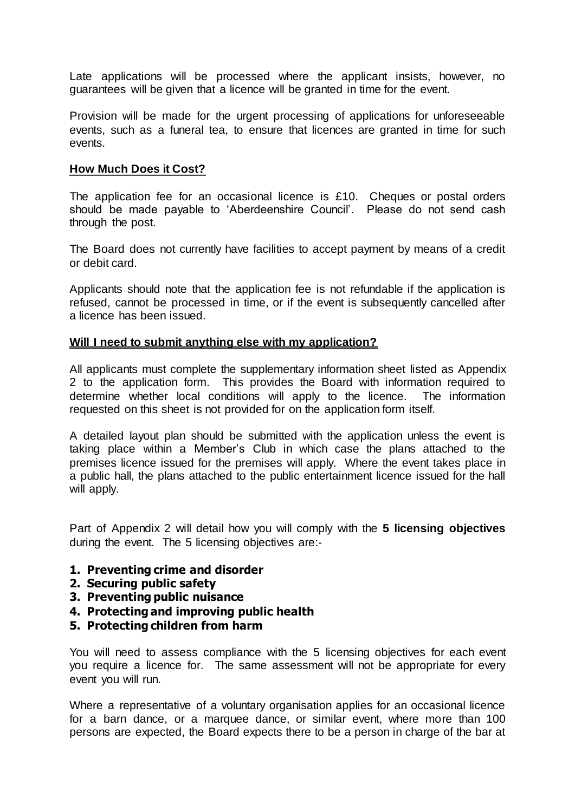Late applications will be processed where the applicant insists, however, no guarantees will be given that a licence will be granted in time for the event.

Provision will be made for the urgent processing of applications for unforeseeable events, such as a funeral tea, to ensure that licences are granted in time for such events.

#### **How Much Does it Cost?**

The application fee for an occasional licence is £10. Cheques or postal orders should be made payable to 'Aberdeenshire Council'. Please do not send cash through the post.

The Board does not currently have facilities to accept payment by means of a credit or debit card.

Applicants should note that the application fee is not refundable if the application is refused, cannot be processed in time, or if the event is subsequently cancelled after a licence has been issued.

# **Will I need to submit anything else with my application?**

All applicants must complete the supplementary information sheet listed as Appendix 2 to the application form. This provides the Board with information required to determine whether local conditions will apply to the licence. The information requested on this sheet is not provided for on the application form itself.

A detailed layout plan should be submitted with the application unless the event is taking place within a Member's Club in which case the plans attached to the premises licence issued for the premises will apply. Where the event takes place in a public hall, the plans attached to the public entertainment licence issued for the hall will apply.

Part of Appendix 2 will detail how you will comply with the **5 licensing objectives** during the event. The 5 licensing objectives are:-

- **1. Preventing crime and disorder**
- **2. Securing public safety**
- **3. Preventing public nuisance**
- **4. Protecting and improving public health**
- **5. Protecting children from harm**

You will need to assess compliance with the 5 licensing objectives for each event you require a licence for. The same assessment will not be appropriate for every event you will run.

Where a representative of a voluntary organisation applies for an occasional licence for a barn dance, or a marquee dance, or similar event, where more than 100 persons are expected, the Board expects there to be a person in charge of the bar at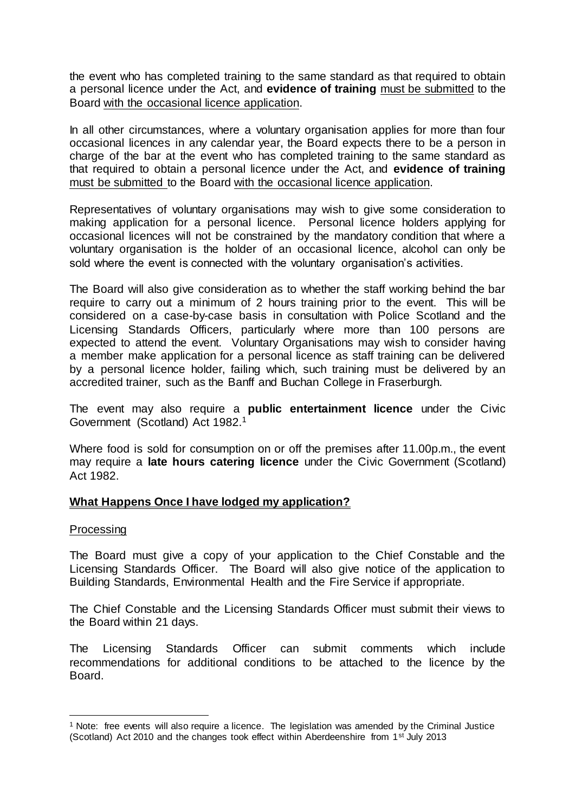the event who has completed training to the same standard as that required to obtain a personal licence under the Act, and **evidence of training** must be submitted to the Board with the occasional licence application.

In all other circumstances, where a voluntary organisation applies for more than four occasional licences in any calendar year, the Board expects there to be a person in charge of the bar at the event who has completed training to the same standard as that required to obtain a personal licence under the Act, and **evidence of training** must be submitted to the Board with the occasional licence application.

Representatives of voluntary organisations may wish to give some consideration to making application for a personal licence. Personal licence holders applying for occasional licences will not be constrained by the mandatory condition that where a voluntary organisation is the holder of an occasional licence, alcohol can only be sold where the event is connected with the voluntary organisation's activities.

The Board will also give consideration as to whether the staff working behind the bar require to carry out a minimum of 2 hours training prior to the event. This will be considered on a case-by-case basis in consultation with Police Scotland and the Licensing Standards Officers, particularly where more than 100 persons are expected to attend the event. Voluntary Organisations may wish to consider having a member make application for a personal licence as staff training can be delivered by a personal licence holder, failing which, such training must be delivered by an accredited trainer, such as the Banff and Buchan College in Fraserburgh.

The event may also require a **public entertainment licence** under the Civic Government (Scotland) Act 1982.<sup>1</sup>

Where food is sold for consumption on or off the premises after 11.00p.m., the event may require a **late hours catering licence** under the Civic Government (Scotland) Act 1982.

# **What Happens Once I have lodged my application?**

#### Processing

 $\overline{a}$ 

The Board must give a copy of your application to the Chief Constable and the Licensing Standards Officer. The Board will also give notice of the application to Building Standards, Environmental Health and the Fire Service if appropriate.

The Chief Constable and the Licensing Standards Officer must submit their views to the Board within 21 days.

The Licensing Standards Officer can submit comments which include recommendations for additional conditions to be attached to the licence by the Board.

<sup>1</sup> Note: free events will also require a licence. The legislation was amended by the Criminal Justice (Scotland) Act 2010 and the changes took effect within Aberdeenshire from 1<sup>st July</sup> 2013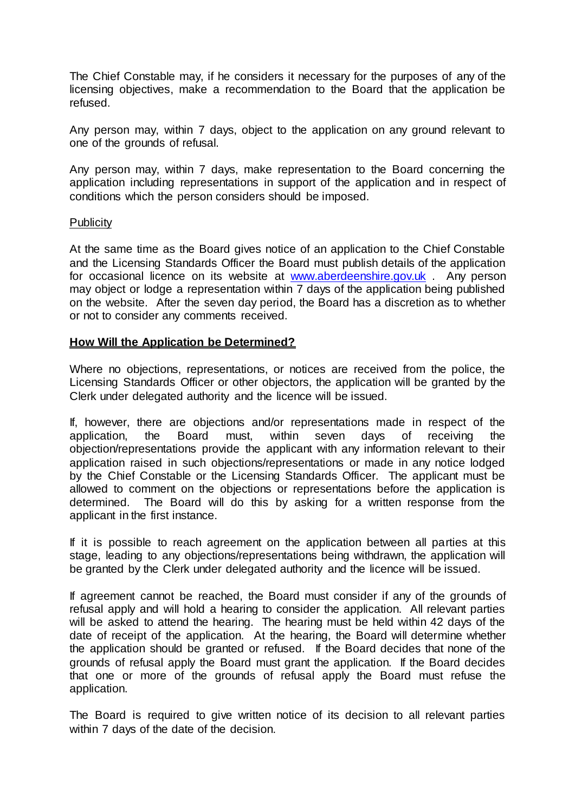The Chief Constable may, if he considers it necessary for the purposes of any of the licensing objectives, make a recommendation to the Board that the application be refused.

Any person may, within 7 days, object to the application on any ground relevant to one of the grounds of refusal.

Any person may, within 7 days, make representation to the Board concerning the application including representations in support of the application and in respect of conditions which the person considers should be imposed.

#### **Publicity**

At the same time as the Board gives notice of an application to the Chief Constable and the Licensing Standards Officer the Board must publish details of the application for occasional licence on its website a[t www.aberdeenshire.gov.uk](http://www.aberdeenshire.gov.uk/) . Any person may object or lodge a representation within 7 days of the application being published on the website. After the seven day period, the Board has a discretion as to whether or not to consider any comments received.

# **How Will the Application be Determined?**

Where no objections, representations, or notices are received from the police, the Licensing Standards Officer or other objectors, the application will be granted by the Clerk under delegated authority and the licence will be issued.

If, however, there are objections and/or representations made in respect of the application, the Board must, within seven days of receiving the objection/representations provide the applicant with any information relevant to their application raised in such objections/representations or made in any notice lodged by the Chief Constable or the Licensing Standards Officer. The applicant must be allowed to comment on the objections or representations before the application is determined. The Board will do this by asking for a written response from the applicant in the first instance.

If it is possible to reach agreement on the application between all parties at this stage, leading to any objections/representations being withdrawn, the application will be granted by the Clerk under delegated authority and the licence will be issued.

If agreement cannot be reached, the Board must consider if any of the grounds of refusal apply and will hold a hearing to consider the application. All relevant parties will be asked to attend the hearing. The hearing must be held within 42 days of the date of receipt of the application. At the hearing, the Board will determine whether the application should be granted or refused. If the Board decides that none of the grounds of refusal apply the Board must grant the application. If the Board decides that one or more of the grounds of refusal apply the Board must refuse the application.

The Board is required to give written notice of its decision to all relevant parties within 7 days of the date of the decision.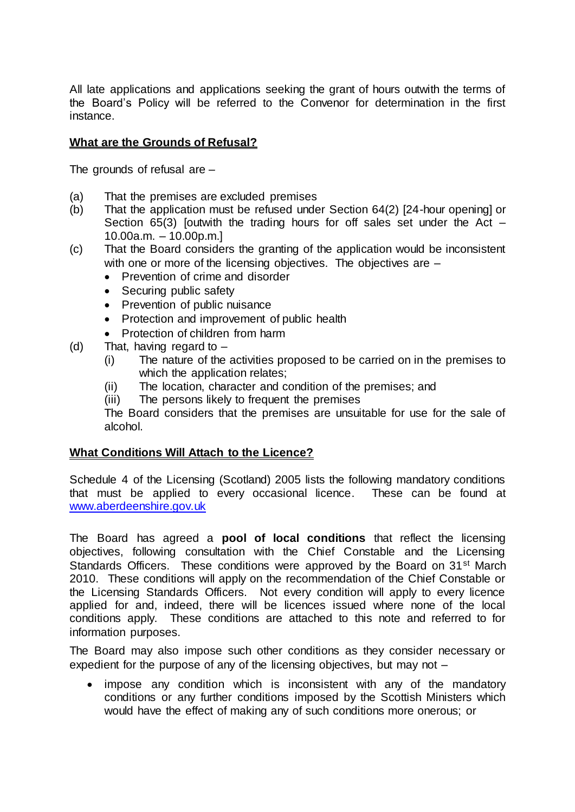All late applications and applications seeking the grant of hours outwith the terms of the Board's Policy will be referred to the Convenor for determination in the first instance.

# **What are the Grounds of Refusal?**

The grounds of refusal are –

- (a) That the premises are excluded premises
- (b) That the application must be refused under Section 64(2) [24-hour opening] or Section 65(3) [outwith the trading hours for off sales set under the Act  $-$ 10.00a.m. – 10.00p.m.]
- (c) That the Board considers the granting of the application would be inconsistent with one or more of the licensing objectives. The objectives are  $-$ 
	- Prevention of crime and disorder
	- Securing public safety
	- Prevention of public nuisance
	- Protection and improvement of public health
	- Protection of children from harm
- (d) That, having regard to
	- (i) The nature of the activities proposed to be carried on in the premises to which the application relates;
	- (ii) The location, character and condition of the premises; and
	- (iii) The persons likely to frequent the premises

The Board considers that the premises are unsuitable for use for the sale of alcohol.

# **What Conditions Will Attach to the Licence?**

Schedule 4 of the Licensing (Scotland) 2005 lists the following mandatory conditions that must be applied to every occasional licence. These can be found at [www.aberdeenshire.gov.uk](http://www.aberdeenshire.gov.uk/)

The Board has agreed a **pool of local conditions** that reflect the licensing objectives, following consultation with the Chief Constable and the Licensing Standards Officers. These conditions were approved by the Board on 31<sup>st</sup> March 2010. These conditions will apply on the recommendation of the Chief Constable or the Licensing Standards Officers. Not every condition will apply to every licence applied for and, indeed, there will be licences issued where none of the local conditions apply. These conditions are attached to this note and referred to for information purposes.

The Board may also impose such other conditions as they consider necessary or expedient for the purpose of any of the licensing objectives, but may not –

 impose any condition which is inconsistent with any of the mandatory conditions or any further conditions imposed by the Scottish Ministers which would have the effect of making any of such conditions more onerous; or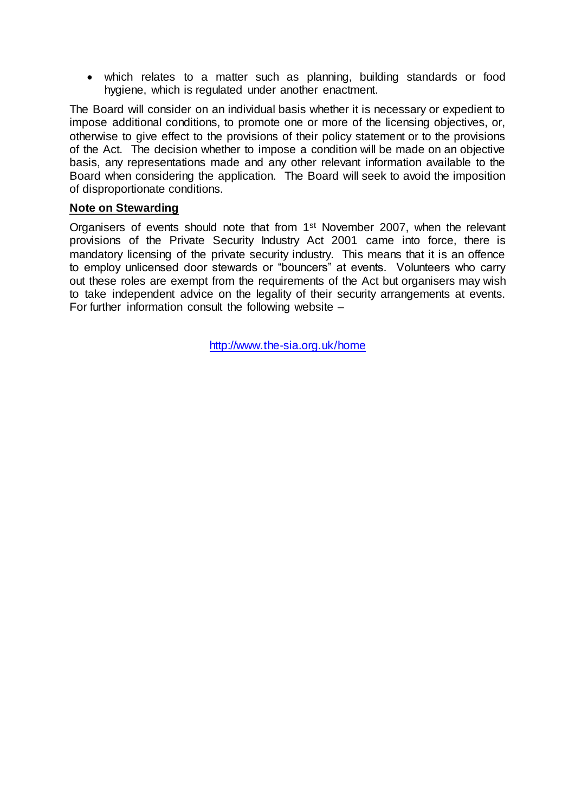which relates to a matter such as planning, building standards or food hygiene, which is regulated under another enactment.

The Board will consider on an individual basis whether it is necessary or expedient to impose additional conditions, to promote one or more of the licensing objectives, or, otherwise to give effect to the provisions of their policy statement or to the provisions of the Act. The decision whether to impose a condition will be made on an objective basis, any representations made and any other relevant information available to the Board when considering the application. The Board will seek to avoid the imposition of disproportionate conditions.

#### **Note on Stewarding**

Organisers of events should note that from 1st November 2007, when the relevant provisions of the Private Security Industry Act 2001 came into force, there is mandatory licensing of the private security industry. This means that it is an offence to employ unlicensed door stewards or "bouncers" at events. Volunteers who carry out these roles are exempt from the requirements of the Act but organisers may wish to take independent advice on the legality of their security arrangements at events. For further information consult the following website –

<http://www.the-sia.org.uk/home>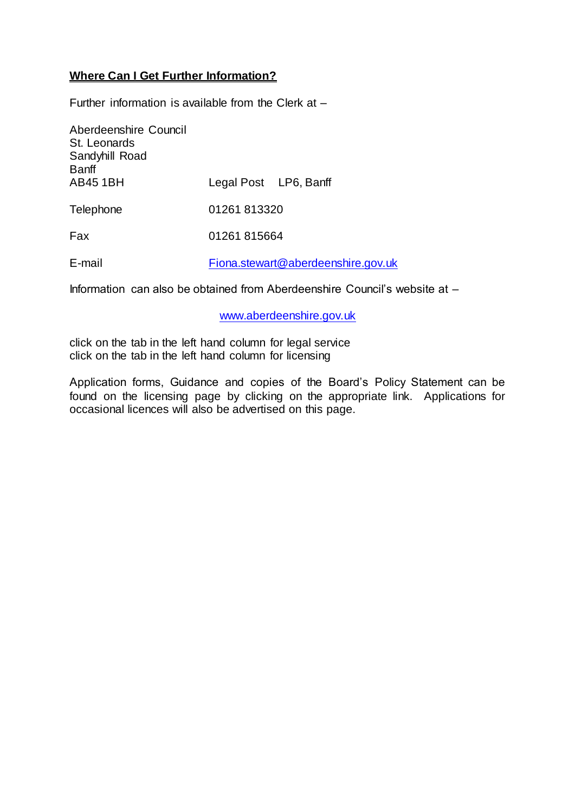# **Where Can I Get Further Information?**

Further information is available from the Clerk at –

| Aberdeenshire Council<br>St. Leonards<br>Sandyhill Road<br><b>Banff</b> |                                    |
|-------------------------------------------------------------------------|------------------------------------|
| <b>AB451BH</b>                                                          | Legal Post LP6, Banff              |
| Telephone                                                               | 01261813320                        |
| Fax                                                                     | 01261 815664                       |
| E-mail                                                                  | Fiona.stewart@aberdeenshire.gov.uk |

Information can also be obtained from Aberdeenshire Council's website at –

[www.aberdeenshire.gov.uk](http://www.aberdeenshire.gov.uk/)

click on the tab in the left hand column for legal service click on the tab in the left hand column for licensing

Application forms, Guidance and copies of the Board's Policy Statement can be found on the licensing page by clicking on the appropriate link. Applications for occasional licences will also be advertised on this page.